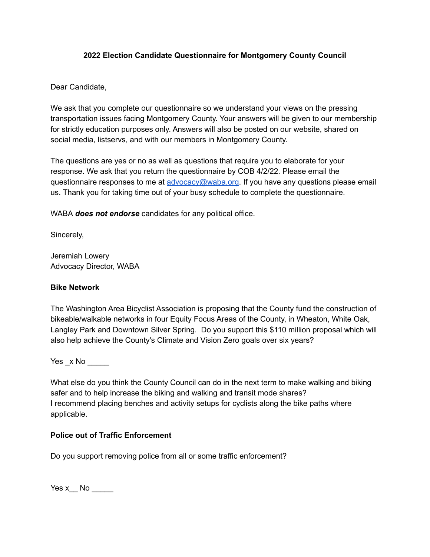## **2022 Election Candidate Questionnaire for Montgomery County Council**

Dear Candidate,

We ask that you complete our questionnaire so we understand your views on the pressing transportation issues facing Montgomery County. Your answers will be given to our membership for strictly education purposes only. Answers will also be posted on our website, shared on social media, listservs, and with our members in Montgomery County.

The questions are yes or no as well as questions that require you to elaborate for your response. We ask that you return the questionnaire by COB 4/2/22. Please email the questionnaire responses to me at [advocacy@waba.org](mailto:advocacy@waba.org). If you have any questions please email us. Thank you for taking time out of your busy schedule to complete the questionnaire.

WABA *does not endorse* candidates for any political office.

Sincerely,

Jeremiah Lowery Advocacy Director, WABA

## **Bike Network**

The Washington Area Bicyclist Association is proposing that the County fund the construction of bikeable/walkable networks in four Equity Focus Areas of the County, in Wheaton, White Oak, Langley Park and Downtown Silver Spring. Do you support this \$110 million proposal which will also help achieve the County's Climate and Vision Zero goals over six years?

Yes x No  $\blacksquare$ 

What else do you think the County Council can do in the next term to make walking and biking safer and to help increase the biking and walking and transit mode shares? I recommend placing benches and activity setups for cyclists along the bike paths where applicable.

## **Police out of Traffic Enforcement**

Do you support removing police from all or some traffic enforcement?

Yes x  $\blacksquare$  No  $\blacksquare$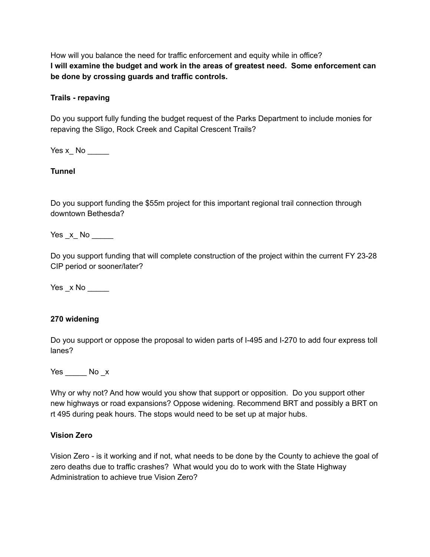How will you balance the need for traffic enforcement and equity while in office? **I will examine the budget and work in the areas of greatest need. Some enforcement can be done by crossing guards and traffic controls.**

## **Trails - repaving**

Do you support fully funding the budget request of the Parks Department to include monies for repaving the Sligo, Rock Creek and Capital Crescent Trails?

Yes x\_ No \_\_\_\_\_

## **Tunnel**

Do you support funding the \$55m project for this important regional trail connection through downtown Bethesda?

 $Yes_x No$ 

Do you support funding that will complete construction of the project within the current FY 23-28 CIP period or sooner/later?

 $Yes_x No$ 

## **270 widening**

Do you support or oppose the proposal to widen parts of I-495 and I-270 to add four express toll lanes?

Yes No x

Why or why not? And how would you show that support or opposition. Do you support other new highways or road expansions? Oppose widening. Recommend BRT and possibly a BRT on rt 495 during peak hours. The stops would need to be set up at major hubs.

## **Vision Zero**

Vision Zero - is it working and if not, what needs to be done by the County to achieve the goal of zero deaths due to traffic crashes? What would you do to work with the State Highway Administration to achieve true Vision Zero?